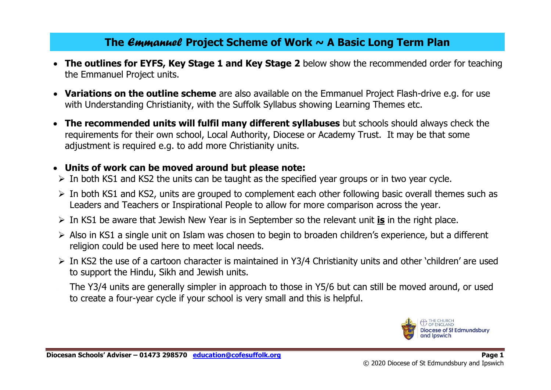# **The** *Emmanuel* **Project Scheme of Work ~ A Basic Long Term Plan**

- **The outlines for EYFS, Key Stage 1 and Key Stage 2** below show the recommended order for teaching the Emmanuel Project units.
- **Variations on the outline scheme** are also available on the Emmanuel Project Flash-drive e.g. for use with Understanding Christianity, with the Suffolk Syllabus showing Learning Themes etc.
- **The recommended units will fulfil many different syllabuses** but schools should always check the requirements for their own school, Local Authority, Diocese or Academy Trust. It may be that some adjustment is required e.g. to add more Christianity units.

### • **Units of work can be moved around but please note:**

- $\triangleright$  In both KS1 and KS2 the units can be taught as the specified year groups or in two year cycle.
- $\triangleright$  In both KS1 and KS2, units are grouped to complement each other following basic overall themes such as Leaders and Teachers or Inspirational People to allow for more comparison across the year.
- ➢ In KS1 be aware that Jewish New Year is in September so the relevant unit **is** in the right place.
- ➢ Also in KS1 a single unit on Islam was chosen to begin to broaden children's experience, but a different religion could be used here to meet local needs.
- ➢ In KS2 the use of a cartoon character is maintained in Y3/4 Christianity units and other 'children' are used to support the Hindu, Sikh and Jewish units.
	- ➢ The Y3/4 units are generally simpler in approach to those in Y5/6 but can still be moved around, or used to create a four-year cycle if your school is very small and this is helpful.

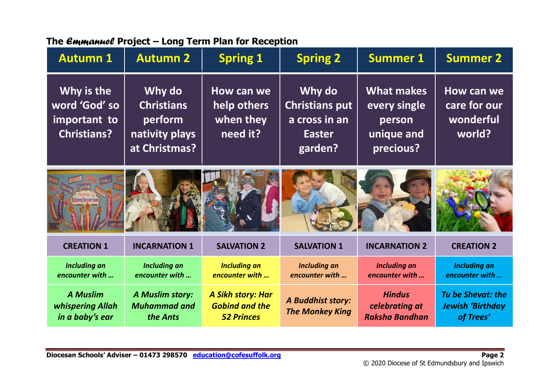| <b>Autumn 1</b>                                                   | <b>Autumn 2</b>                                                           | <b>Spring 1</b>                                                 | <b>Spring 2</b>                                                              | <b>Summer 1</b>                                                        | <b>Summer 2</b>                                                  |
|-------------------------------------------------------------------|---------------------------------------------------------------------------|-----------------------------------------------------------------|------------------------------------------------------------------------------|------------------------------------------------------------------------|------------------------------------------------------------------|
| Why is the<br>word 'God' so<br>important to<br><b>Christians?</b> | Why do<br><b>Christians</b><br>perform<br>nativity plays<br>at Christmas? | How can we<br>help others<br>when they<br>need it?              | Why do<br><b>Christians put</b><br>a cross in an<br><b>Easter</b><br>garden? | <b>What makes</b><br>every single<br>person<br>unique and<br>precious? | How can we<br>care for our<br>wonderful<br>world?                |
|                                                                   |                                                                           |                                                                 |                                                                              |                                                                        |                                                                  |
| <b>CREATION 1</b>                                                 | <b>INCARNATION 1</b>                                                      | <b>SALVATION 2</b>                                              | <b>SALVATION 1</b>                                                           | <b>INCARNATION 2</b>                                                   | <b>CREATION 2</b>                                                |
| <b>Including an</b><br>encounter with                             | <b>Including an</b><br>encounter with                                     | <b>Including an</b><br>encounter with                           | <b>Including an</b><br>encounter with                                        | <b>Including an</b><br>encounter with                                  | <b>Including an</b><br>encounter with                            |
| <b>A Muslim</b><br>whispering Allah<br>in a baby's ear            | <b>A Muslim story:</b><br><b>Muhammad and</b><br>the Ants                 | A Sikh story: Har<br><b>Gobind and the</b><br><b>52 Princes</b> | <b>A Buddhist story:</b><br><b>The Monkey King</b>                           | <b>Hindus</b><br>celebrating at<br><b>Raksha Bandhan</b>               | <b>Tu be Shevat: the</b><br><b>Jewish 'Birthday</b><br>of Trees' |

## **The** *Emmanuel* **Project – Long Term Plan for Reception**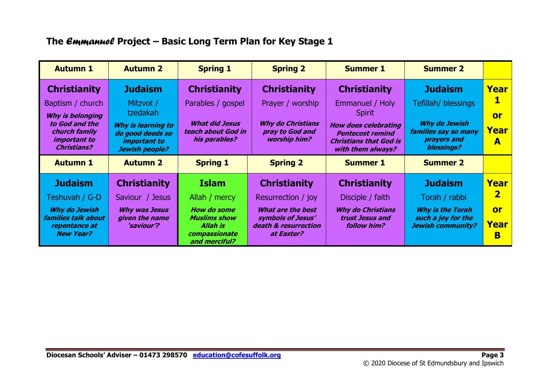## **The** *Emmanuel* **Project – Basic Long Term Plan for Key Stage 1**

| <b>Autumn 1</b>                                                              | <b>Autumn 2</b>                                                                 | <b>Spring 1</b>                                                   | <b>Spring 2</b>                                                    | <b>Summer 1</b>                                                                                              | <b>Summer 2</b>                                                           |           |
|------------------------------------------------------------------------------|---------------------------------------------------------------------------------|-------------------------------------------------------------------|--------------------------------------------------------------------|--------------------------------------------------------------------------------------------------------------|---------------------------------------------------------------------------|-----------|
| <b>Christianity</b>                                                          | <b>Judaism</b>                                                                  | <b>Christianity</b>                                               | <b>Christianity</b>                                                | <b>Christianity</b>                                                                                          | <b>Judaism</b>                                                            | Year      |
| Baptism / church                                                             | Mitzvot /                                                                       | Parables / gospel                                                 | Prayer / worship                                                   | Emmanuel / Holy                                                                                              | Tefillah/ blessings                                                       | 1         |
| <b>Why is belonging</b>                                                      | tzedakah                                                                        |                                                                   |                                                                    | <b>Spirit</b>                                                                                                |                                                                           | <b>or</b> |
| to God and the<br>church family<br><i>important to</i><br><b>Christians?</b> | Why is learning to<br>do good deeds so<br><i>important to</i><br>Jewish people? | <b>What did Jesus</b><br>teach about God in<br>his parables?      | <b>Why do Christians</b><br>pray to God and<br><b>worship him?</b> | <b>How does celebrating</b><br><b>Pentecost remind</b><br><b>Christians that God is</b><br>with them always? | <b>Why do Jewish</b><br>families say so many<br>prayers and<br>blessings? | Year<br>A |
| <b>Autumn 1</b>                                                              | <b>Autumn 2</b>                                                                 | <b>Spring 1</b>                                                   | <b>Spring 2</b>                                                    | <b>Summer 1</b>                                                                                              | <b>Summer 2</b>                                                           |           |
| <b>Judaism</b>                                                               | <b>Christianity</b>                                                             | <b>Islam</b>                                                      | <b>Christianity</b>                                                | <b>Christianity</b>                                                                                          | <b>Judaism</b>                                                            | Year      |
| Teshuvah / G-D                                                               | Saviour / Jesus                                                                 | Allah / mercy                                                     | Resurrection / joy                                                 | Disciple / faith                                                                                             | Torah / rabbi                                                             | 2         |
| <b>Why do Jewish</b>                                                         | <b>Why was Jesus</b>                                                            | <b>How do some</b>                                                | <b>What are the best</b>                                           | <b>Why do Christians</b>                                                                                     | <b>Why is the Torah</b>                                                   | <b>or</b> |
| families talk about<br>repentance at<br><b>New Year?</b>                     | given the name<br><i>'saviour'?</i>                                             | <b>Muslims show</b><br>Allah is<br>compassionate<br>and merciful? | symbols of Jesus'<br>death & resurrection<br>at Easter?            | trust Jesus and<br><b>follow him?</b>                                                                        | such a joy for the<br><b>Jewish community?</b>                            | Year<br>B |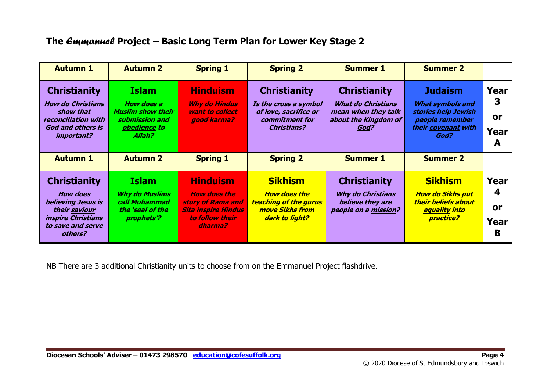## **The** *Emmanuel* **Project – Basic Long Term Plan for Lower Key Stage 2**

| <b>Autumn 1</b>                                                                                                        | <b>Autumn 2</b>                                                                                    | <b>Spring 1</b>                                                           | <b>Spring 2</b>                                                                                               | <b>Summer 1</b>                                                                                         | <b>Summer 2</b>                                                                                                    |                              |
|------------------------------------------------------------------------------------------------------------------------|----------------------------------------------------------------------------------------------------|---------------------------------------------------------------------------|---------------------------------------------------------------------------------------------------------------|---------------------------------------------------------------------------------------------------------|--------------------------------------------------------------------------------------------------------------------|------------------------------|
| <b>Christianity</b><br><b>How do Christians</b><br>show that<br>reconciliation with<br>God and others is<br>important? | <b>Islam</b><br>How does a<br><b>Muslim show their</b><br>submission and<br>obedience to<br>Allah? | <b>Hinduism</b><br><b>Why do Hindus</b><br>want to collect<br>good karma? | <b>Christianity</b><br>Is the cross a symbol<br>of love, sacrifice or<br>commitment for<br><b>Christians?</b> | <b>Christianity</b><br><b>What do Christians</b><br>mean when they talk<br>about the Kingdom of<br>God? | <b>Judaism</b><br><b>What symbols and</b><br>stories help Jewish<br>people remember<br>their covenant with<br>God? | Year<br>3<br>0r<br>Year<br>A |
| <b>Autumn 1</b>                                                                                                        | <b>Autumn 2</b>                                                                                    |                                                                           |                                                                                                               |                                                                                                         |                                                                                                                    |                              |
|                                                                                                                        |                                                                                                    | <b>Spring 1</b>                                                           | <b>Spring 2</b>                                                                                               | <b>Summer 1</b>                                                                                         | <b>Summer 2</b>                                                                                                    |                              |

NB There are 3 additional Christianity units to choose from on the Emmanuel Project flashdrive.